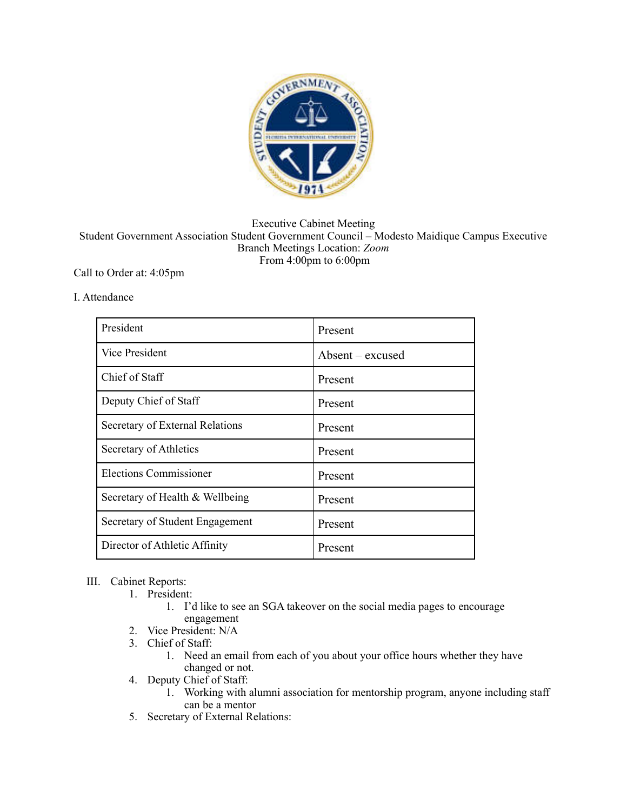

## Executive Cabinet Meeting Student Government Association Student Government Council – Modesto Maidique Campus Executive Branch Meetings Location: *Zoom*  From 4:00pm to 6:00pm

## Call to Order at: 4:05pm

## I. Attendance

| President                       | Present          |
|---------------------------------|------------------|
| <b>Vice President</b>           | $Absent-excused$ |
| Chief of Staff                  | Present          |
| Deputy Chief of Staff           | Present          |
| Secretary of External Relations | Present          |
| Secretary of Athletics          | Present          |
| <b>Elections Commissioner</b>   | Present          |
| Secretary of Health & Wellbeing | Present          |
| Secretary of Student Engagement | Present          |
| Director of Athletic Affinity   | Present          |

## III. Cabinet Reports:

- 1. President:
	- 1. I'd like to see an SGA takeover on the social media pages to encourage engagement
- 2. Vice President: N/A
- 3. Chief of Staff:
	- 1. Need an email from each of you about your office hours whether they have changed or not.
- 4. Deputy Chief of Staff:
	- 1. Working with alumni association for mentorship program, anyone including staff can be a mentor
- 5. Secretary of External Relations: